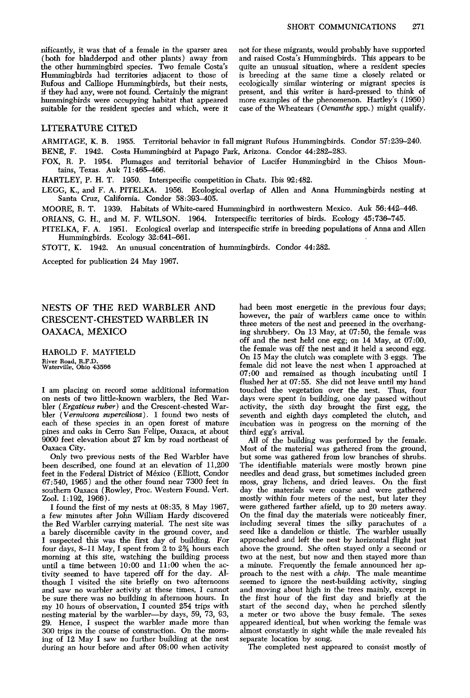**(both for bladderpod and other plants) away from and raised Costas ' Hummingbirds. This appears to be**  Hummingbirds had territories adjacent to those of **Rufous and Calliope Hummingbirds, but their nests, ecologically similar wintering or migrant species is**  hummingbirds were occupying habitat that appeared suitable for the resident species and which, were it case of the Wheatears (*Oenanthe spp.*) might qualify.

**nificantly, it was that of a female in the sparser area not for these migrants, would probably have supported**  quite an unusual situation, where a resident species is breeding at the same time a closely related or present, and this writer is hard-pressed to think of more examples of the phenomenon. Hartley's (1950)

## **LITERATURE CITED**

**ARMITAGE, K. B. 1955. Territorial behavior in fall migrant Rufous Hummingbirds. Condor 57:239-240. BENR, F. 1942. Costa Hummingbird at Papago Park, Arizona. Condor 44:282-283.** 

**FOX, R. P. 1954. Plumages and territorial behavior of Lucifer Hummingbird in the Chisos Mountains, Texas. Auk 71:465-466.** 

**HARTLEY, P. H. T. 1950. Interspecific competition in Chats. Ibis 92:482.** 

**LEGG, K., and F. A. PITELKA. 1956. Ecological overlap of Allen and Anna Hummingbirds nesting at**  Santa Cruz, California. Condor 58:393-405.

**MOORE, R. T. 1939, Habitats of White-eared Hummingbird in northwestern Mexico. Auk 56:442-446. ORIANS, G. H., and M. F. WILSON. 1964. Interspecific territories of birds. Ecology 45:736-745.** 

**PITELKA, F. A. 1951. Ecological overlap and interspecific strife in breeding populations of Anna and Allen Hummingbirds. Ecology 32:641-661.** 

**STOTT, K. 1942. An unusual concentration of hummingbirds. Condor 44:282.** 

**Accepted for publication 24 May 1967.** 

## **NESTS OF THE RED WARBLER AND CRESCENT-CHESTED WARBLER IN OAXACA, MÉXICO**

**HAROLD F. MAYFIELD River Road, R.F.D. Waterville, Ohio 43566** 

**I am placing on record some additional information on nests of two little-known warblers, the Red War**bler (Ergaticus ruber) and the Crescent-chested War**bler (Vermivora superciliosu). I found two nests of each of these species in an open forest of mature pines and oaks in Cerro San Felipe, Oaxaca, at about 9000 feet elevation about 27 km by road northeast of Oaxaca City.** 

**Only two previous nests of the Red Warbler have been described, one found at an elevation of 11,260 feet in the Federal District of Mexico (Elliott, Condor 67:540, 1965) and the other found near 7300 feet in southern Oaxaca (Rowley, Proc. Western Found. Vert. Zool. 1:192, 1966).** 

**I found the first of my nests at 08:35, 8 May 1967, a few minutes after John William Hardy discovered the Red Warbler carrying material. The nest site was a barely discernible cavity in the ground cover, and I suspected this was the first day of building. For four days, 8-11 May, I spent from 2 to 2% hours each morning at this site, watching the building process**  until a time between 10:00 and 11:00 when the ac**tivity seemed to have tapered off for the day. Although I visited the site briefly on two afternoons and saw no warbler activity at these times, I cannot be sure there was no building in afternoon hours. In my 10 hours of observation, I counted 254 trips with nesting material by the warbler-by days, 59, 73, 93, 29. Hence, I suspect the warbler made more than 360 trips in the course of construction. On the morning of 12 May I saw no further building at the nest**  during an hour before and after 08:00 when activity

**had been most energetic in the previous four days; however, the pair of warblers came once to within three meters of the nest and preened in the overhanging shrubbery. On 13 May, at 07:50, the female was off and the nest held one-egg; on 14 May, at 07:00, the female was off the nest and it held a second egg. On 15 May the clutch was complete with 3 eggs. The female did not leave the nest when I approached at 07:OO and remained as though incubating until I flushed her at 07:55. She did not leave until my hand touched the vegetation over the nest. Thus, four days were spent in building, one day passed without activity, the sixth day brought the first egg, the seventh and eighth days completed the clutch, and incubation was in progress on the morning of the**  third egg's arrival.

**All of the building was performed by the female. Most of the material was gathered from the ground, but some was gathered from low branches of shrubs. The identifiable materials were mostly brown pine needles and dead grass, but sometimes included green moss, gray lichens, and dried leaves. On the first day the materials were coarse and were gathered mostly within four meters of the nest, but later they were gathered farther afield, up to 20 meters away. On the final day the materials were noticeablv finer, including several times the silky parachutes of a seed like a dandelion or thistle. The warbler usually**  approached and left the nest by horizontal flight just **above the ground. She often stayed only a second or two at the nest, but now and then stayed more than a minute. Frequently the female announced her approach to the nest with a chip. The male meantime seemed to ignore the nest-building activity, singing and moving about high in the trees mainly, except in the first hour of the first day and briefly at the start of the second day, when he perched silently a meter or two above the busy female. The sexes appeared identical, but when working the female was almost constantly in sight while the male revealed his separate location by song.** 

**The completed nest appeared to consist mostly of**